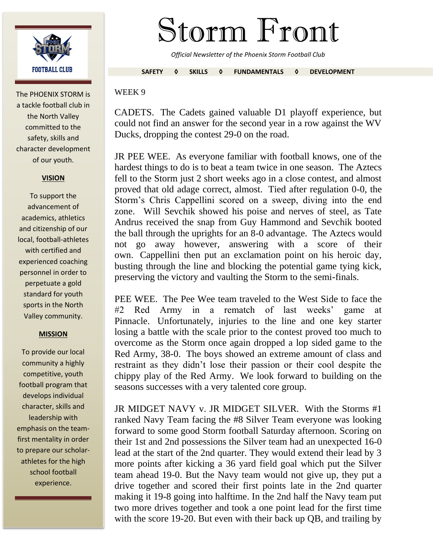

The PHOENIX STORM is a tackle football club in the North Valley committed to the safety, skills and character development of our youth.

## **VISION**

To support the advancement of academics, athletics and citizenship of our local, football-athletes with certified and experienced coaching personnel in order to perpetuate a gold standard for youth sports in the North Valley community.

## **MISSION**

To provide our local community a highly competitive, youth football program that develops individual character, skills and leadership with emphasis on the teamfirst mentality in order to prepare our scholarathletes for the high school football experience.

## Storm Front

*Official Newsletter of the Phoenix Storm Football Club*

**SAFETY ◊ SKILLS ◊ FUNDAMENTALS ◊ DEVELOPMENT**

## WEEK 9

CADETS. The Cadets gained valuable D1 playoff experience, but could not find an answer for the second year in a row against the WV Ducks, dropping the contest 29-0 on the road.

JR PEE WEE. As everyone familiar with football knows, one of the hardest things to do is to beat a team twice in one season. The Aztecs fell to the Storm just 2 short weeks ago in a close contest, and almost proved that old adage correct, almost. Tied after regulation 0-0, the Storm's Chris Cappellini scored on a sweep, diving into the end zone. Will Sevchik showed his poise and nerves of steel, as Tate Andrus received the snap from Guy Hammond and Sevchik booted the ball through the uprights for an 8-0 advantage. The Aztecs would not go away however, answering with a score of their own. Cappellini then put an exclamation point on his heroic day, busting through the line and blocking the potential game tying kick, preserving the victory and vaulting the Storm to the semi-finals.

PEE WEE. The Pee Wee team traveled to the West Side to face the  $#2$  Red Army in a rematch of last weeks' game Pinnacle. Unfortunately, injuries to the line and one key starter losing a battle with the scale prior to the contest proved too much to overcome as the Storm once again dropped a lop sided game to the Red Army, 38-0. The boys showed an extreme amount of class and restraint as they didn't lose their passion or their cool despite the chippy play of the Red Army. We look forward to building on the seasons successes with a very talented core group.

JR MIDGET NAVY v. JR MIDGET SILVER. With the Storms #1 ranked Navy Team facing the #8 Silver Team everyone was looking forward to some good Storm football Saturday afternoon. Scoring on their 1st and 2nd possessions the Silver team had an unexpected 16-0 lead at the start of the 2nd quarter. They would extend their lead by 3 more points after kicking a 36 yard field goal which put the Silver team ahead 19-0. But the Navy team would not give up, they put a drive together and scored their first points late in the 2nd quarter making it 19-8 going into halftime. In the 2nd half the Navy team put two more drives together and took a one point lead for the first time with the score 19-20. But even with their back up QB, and trailing by